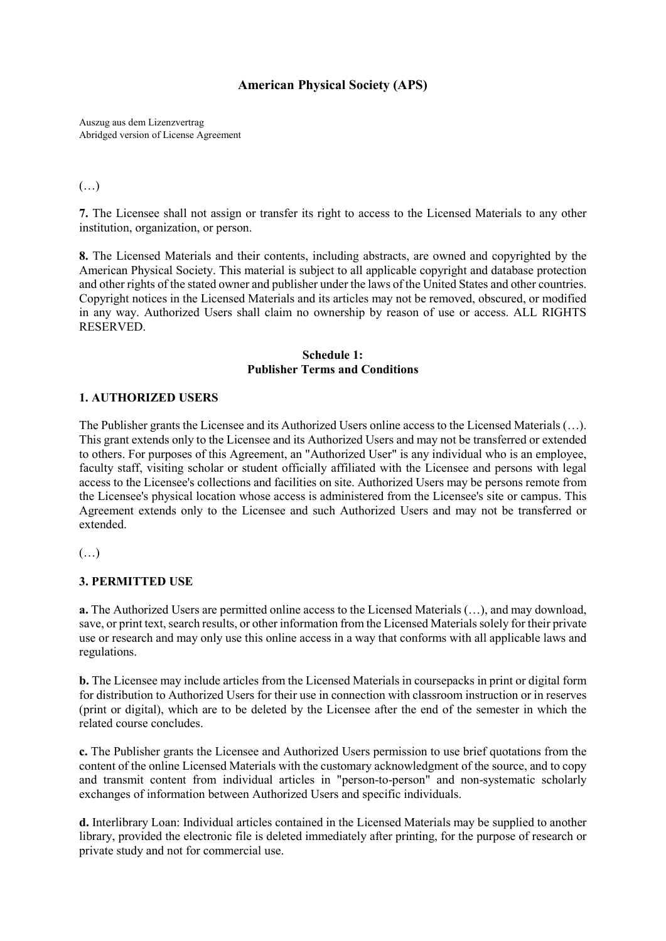## **American Physical Society (APS)**

Auszug aus dem Lizenzvertrag Abridged version of License Agreement

## (…)

**7.** The Licensee shall not assign or transfer its right to access to the Licensed Materials to any other institution, organization, or person.

**8.** The Licensed Materials and their contents, including abstracts, are owned and copyrighted by the American Physical Society. This material is subject to all applicable copyright and database protection and other rights of the stated owner and publisher under the laws of the United States and other countries. Copyright notices in the Licensed Materials and its articles may not be removed, obscured, or modified in any way. Authorized Users shall claim no ownership by reason of use or access. ALL RIGHTS RESERVED.

#### **Schedule 1: Publisher Terms and Conditions**

#### **1. AUTHORIZED USERS**

The Publisher grants the Licensee and its Authorized Users online access to the Licensed Materials (…). This grant extends only to the Licensee and its Authorized Users and may not be transferred or extended to others. For purposes of this Agreement, an "Authorized User" is any individual who is an employee, faculty staff, visiting scholar or student officially affiliated with the Licensee and persons with legal access to the Licensee's collections and facilities on site. Authorized Users may be persons remote from the Licensee's physical location whose access is administered from the Licensee's site or campus. This Agreement extends only to the Licensee and such Authorized Users and may not be transferred or extended.

(…)

#### **3. PERMITTED USE**

**a.** The Authorized Users are permitted online access to the Licensed Materials (…), and may download, save, or print text, search results, or other information from the Licensed Materials solely for their private use or research and may only use this online access in a way that conforms with all applicable laws and regulations.

**b.** The Licensee may include articles from the Licensed Materials in coursepacks in print or digital form for distribution to Authorized Users for their use in connection with classroom instruction or in reserves (print or digital), which are to be deleted by the Licensee after the end of the semester in which the related course concludes.

**c.** The Publisher grants the Licensee and Authorized Users permission to use brief quotations from the content of the online Licensed Materials with the customary acknowledgment of the source, and to copy and transmit content from individual articles in "person-to-person" and non-systematic scholarly exchanges of information between Authorized Users and specific individuals.

**d.** Interlibrary Loan: Individual articles contained in the Licensed Materials may be supplied to another library, provided the electronic file is deleted immediately after printing, for the purpose of research or private study and not for commercial use.